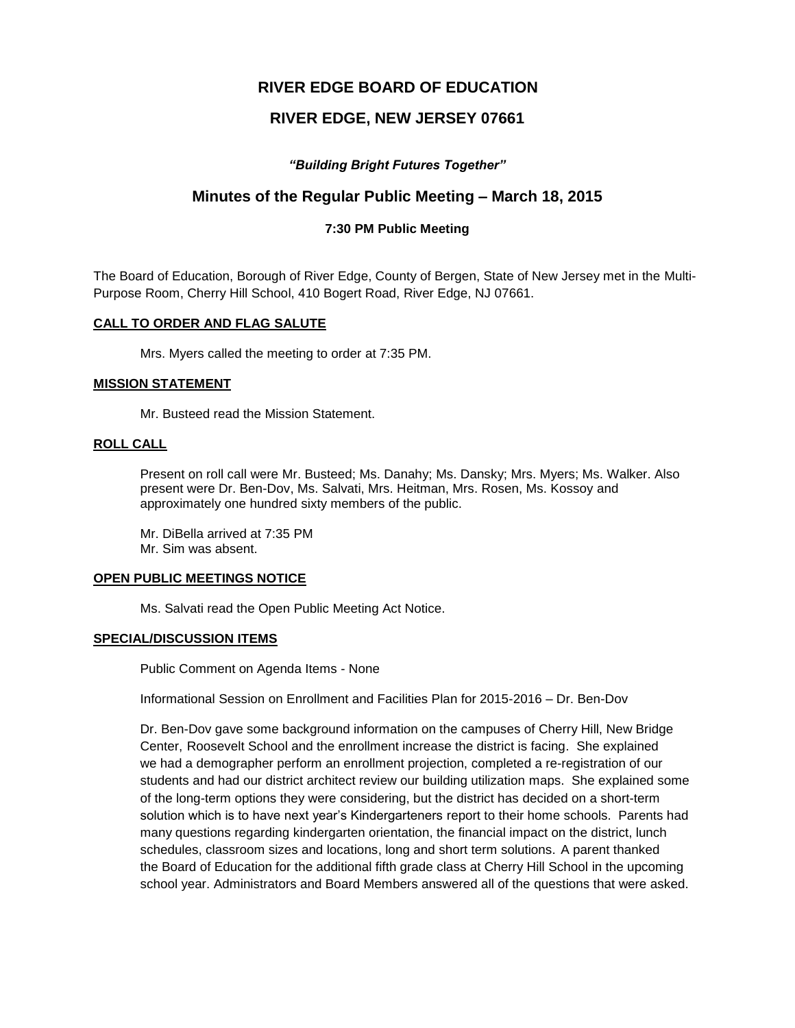## **RIVER EDGE BOARD OF EDUCATION**

## **RIVER EDGE, NEW JERSEY 07661**

## *"Building Bright Futures Together"*

# **Minutes of the Regular Public Meeting – March 18, 2015**

### **7:30 PM Public Meeting**

The Board of Education, Borough of River Edge, County of Bergen, State of New Jersey met in the Multi-Purpose Room, Cherry Hill School, 410 Bogert Road, River Edge, NJ 07661.

### **CALL TO ORDER AND FLAG SALUTE**

Mrs. Myers called the meeting to order at 7:35 PM.

#### **MISSION STATEMENT**

Mr. Busteed read the Mission Statement.

#### **ROLL CALL**

Present on roll call were Mr. Busteed; Ms. Danahy; Ms. Dansky; Mrs. Myers; Ms. Walker. Also present were Dr. Ben-Dov, Ms. Salvati, Mrs. Heitman, Mrs. Rosen, Ms. Kossoy and approximately one hundred sixty members of the public.

Mr. DiBella arrived at 7:35 PM Mr. Sim was absent.

### **OPEN PUBLIC MEETINGS NOTICE**

Ms. Salvati read the Open Public Meeting Act Notice.

### **SPECIAL/DISCUSSION ITEMS**

Public Comment on Agenda Items - None

Informational Session on Enrollment and Facilities Plan for 2015-2016 – Dr. Ben-Dov

Dr. Ben-Dov gave some background information on the campuses of Cherry Hill, New Bridge Center, Roosevelt School and the enrollment increase the district is facing. She explained we had a demographer perform an enrollment projection, completed a re-registration of our students and had our district architect review our building utilization maps. She explained some of the long-term options they were considering, but the district has decided on a short-term solution which is to have next year's Kindergarteners report to their home schools. Parents had many questions regarding kindergarten orientation, the financial impact on the district, lunch schedules, classroom sizes and locations, long and short term solutions. A parent thanked the Board of Education for the additional fifth grade class at Cherry Hill School in the upcoming school year. Administrators and Board Members answered all of the questions that were asked.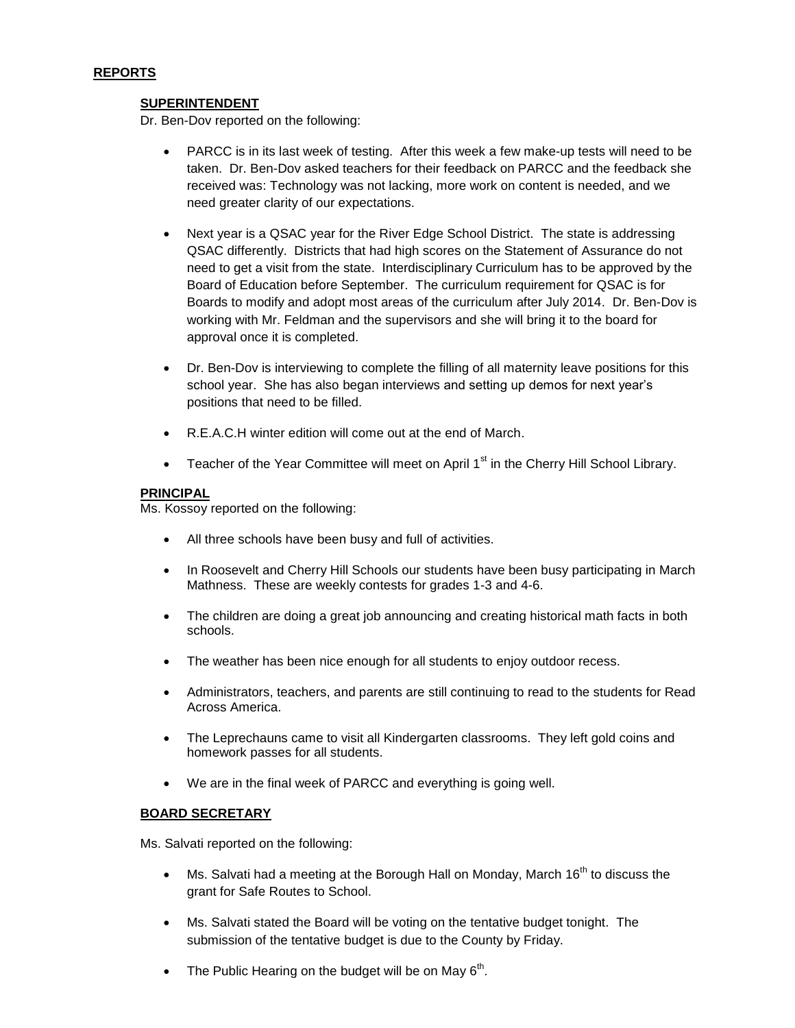### **REPORTS**

### **SUPERINTENDENT**

Dr. Ben-Dov reported on the following:

- PARCC is in its last week of testing. After this week a few make-up tests will need to be taken. Dr. Ben-Dov asked teachers for their feedback on PARCC and the feedback she received was: Technology was not lacking, more work on content is needed, and we need greater clarity of our expectations.
- Next year is a QSAC year for the River Edge School District. The state is addressing QSAC differently. Districts that had high scores on the Statement of Assurance do not need to get a visit from the state. Interdisciplinary Curriculum has to be approved by the Board of Education before September. The curriculum requirement for QSAC is for Boards to modify and adopt most areas of the curriculum after July 2014. Dr. Ben-Dov is working with Mr. Feldman and the supervisors and she will bring it to the board for approval once it is completed.
- Dr. Ben-Dov is interviewing to complete the filling of all maternity leave positions for this school year. She has also began interviews and setting up demos for next year's positions that need to be filled.
- R.E.A.C.H winter edition will come out at the end of March.
- **•** Teacher of the Year Committee will meet on April  $1<sup>st</sup>$  in the Cherry Hill School Library.

### **PRINCIPAL**

Ms. Kossoy reported on the following:

- All three schools have been busy and full of activities.
- In Roosevelt and Cherry Hill Schools our students have been busy participating in March Mathness. These are weekly contests for grades 1-3 and 4-6.
- The children are doing a great job announcing and creating historical math facts in both schools.
- The weather has been nice enough for all students to enjoy outdoor recess.
- Administrators, teachers, and parents are still continuing to read to the students for Read Across America.
- The Leprechauns came to visit all Kindergarten classrooms. They left gold coins and homework passes for all students.
- We are in the final week of PARCC and everything is going well.

### **BOARD SECRETARY**

Ms. Salvati reported on the following:

- $\bullet$  Ms. Salvati had a meeting at the Borough Hall on Monday, March 16<sup>th</sup> to discuss the grant for Safe Routes to School.
- Ms. Salvati stated the Board will be voting on the tentative budget tonight. The submission of the tentative budget is due to the County by Friday.
- The Public Hearing on the budget will be on May  $6<sup>th</sup>$ .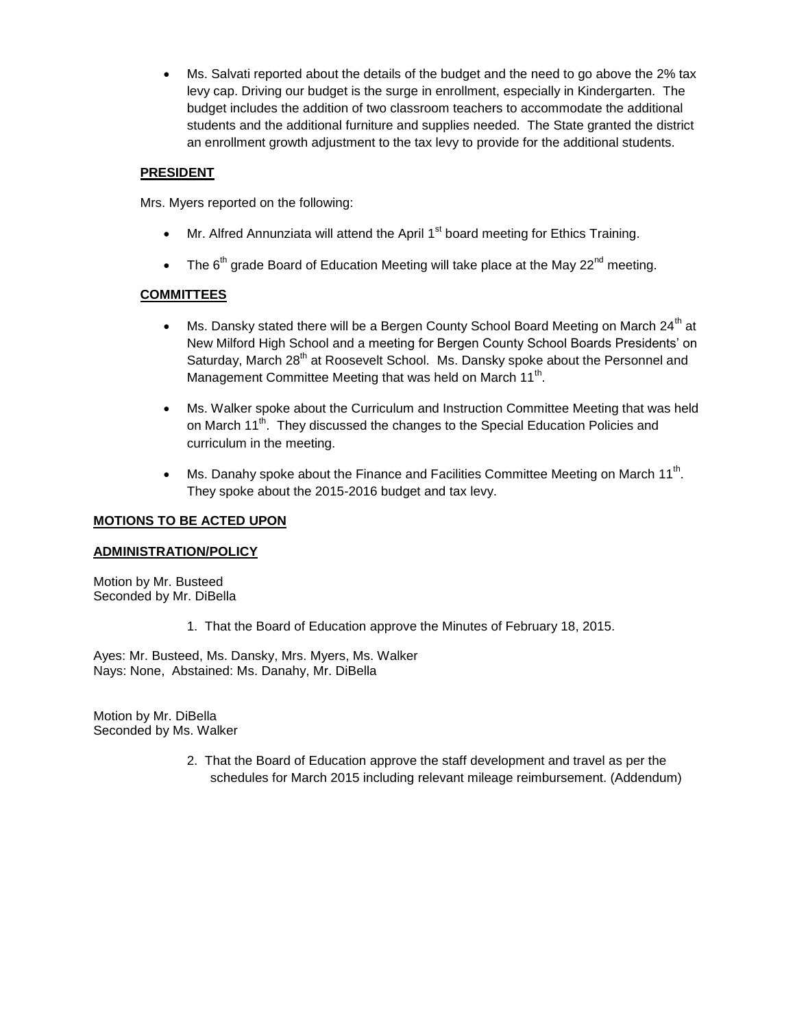Ms. Salvati reported about the details of the budget and the need to go above the 2% tax levy cap. Driving our budget is the surge in enrollment, especially in Kindergarten. The budget includes the addition of two classroom teachers to accommodate the additional students and the additional furniture and supplies needed. The State granted the district an enrollment growth adjustment to the tax levy to provide for the additional students.

## **PRESIDENT**

Mrs. Myers reported on the following:

- $\bullet$  Mr. Alfred Annunziata will attend the April 1<sup>st</sup> board meeting for Ethics Training.
- The  $6<sup>th</sup>$  grade Board of Education Meeting will take place at the May 22<sup>nd</sup> meeting.

## **COMMITTEES**

- $\bullet$  Ms. Dansky stated there will be a Bergen County School Board Meeting on March 24<sup>th</sup> at New Milford High School and a meeting for Bergen County School Boards Presidents' on Saturday, March 28<sup>th</sup> at Roosevelt School. Ms. Dansky spoke about the Personnel and Management Committee Meeting that was held on March 11<sup>th</sup>.
- Ms. Walker spoke about the Curriculum and Instruction Committee Meeting that was held on March 11<sup>th</sup>. They discussed the changes to the Special Education Policies and curriculum in the meeting.
- Ms. Danahy spoke about the Finance and Facilities Committee Meeting on March 11<sup>th</sup>. They spoke about the 2015-2016 budget and tax levy.

### **MOTIONS TO BE ACTED UPON**

# **ADMINISTRATION/POLICY**

Motion by Mr. Busteed Seconded by Mr. DiBella

1. That the Board of Education approve the Minutes of February 18, 2015.

Ayes: Mr. Busteed, Ms. Dansky, Mrs. Myers, Ms. Walker Nays: None, Abstained: Ms. Danahy, Mr. DiBella

Motion by Mr. DiBella Seconded by Ms. Walker

> 2. That the Board of Education approve the staff development and travel as per the schedules for March 2015 including relevant mileage reimbursement. (Addendum)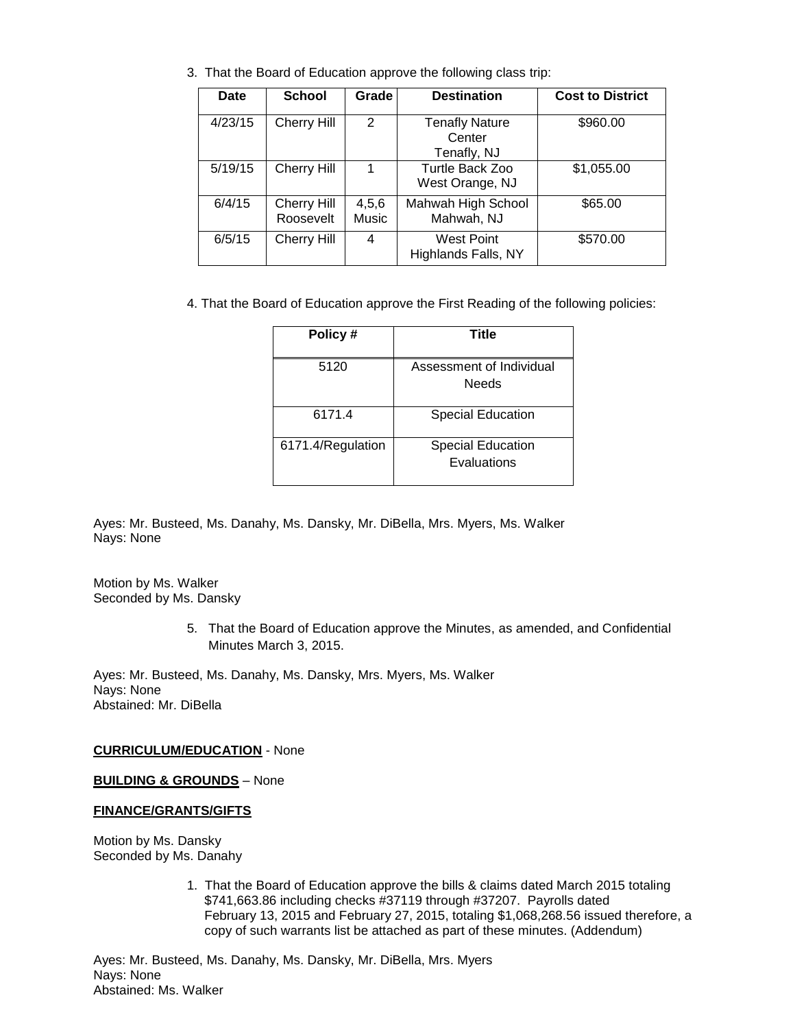| <b>Date</b> | <b>School</b>                   | Grade          | <b>Destination</b>                             | <b>Cost to District</b> |
|-------------|---------------------------------|----------------|------------------------------------------------|-------------------------|
| 4/23/15     | Cherry Hill                     | $\overline{2}$ | <b>Tenafly Nature</b><br>Center<br>Tenafly, NJ | \$960.00                |
| 5/19/15     | Cherry Hill                     |                | Turtle Back Zoo<br>West Orange, NJ             | \$1,055.00              |
| 6/4/15      | <b>Cherry Hill</b><br>Roosevelt | 4,5,6<br>Music | Mahwah High School<br>Mahwah, NJ               | \$65.00                 |
| 6/5/15      | <b>Cherry Hill</b>              | 4              | West Point<br>Highlands Falls, NY              | \$570.00                |

3. That the Board of Education approve the following class trip:

4. That the Board of Education approve the First Reading of the following policies:

| Policy #          | Title                                    |
|-------------------|------------------------------------------|
| 5120              | Assessment of Individual<br><b>Needs</b> |
| 6171.4            | <b>Special Education</b>                 |
| 6171.4/Regulation | <b>Special Education</b><br>Evaluations  |

Ayes: Mr. Busteed, Ms. Danahy, Ms. Dansky, Mr. DiBella, Mrs. Myers, Ms. Walker Nays: None

Motion by Ms. Walker Seconded by Ms. Dansky

> 5. That the Board of Education approve the Minutes, as amended, and Confidential Minutes March 3, 2015.

Ayes: Mr. Busteed, Ms. Danahy, Ms. Dansky, Mrs. Myers, Ms. Walker Nays: None Abstained: Mr. DiBella

**CURRICULUM/EDUCATION** - None

**BUILDING & GROUNDS** – None

### **FINANCE/GRANTS/GIFTS**

Motion by Ms. Dansky Seconded by Ms. Danahy

> 1. That the Board of Education approve the bills & claims dated March 2015 totaling \$741,663.86 including checks #37119 through #37207. Payrolls dated February 13, 2015 and February 27, 2015, totaling \$1,068,268.56 issued therefore, a copy of such warrants list be attached as part of these minutes. (Addendum)

Ayes: Mr. Busteed, Ms. Danahy, Ms. Dansky, Mr. DiBella, Mrs. Myers Nays: None Abstained: Ms. Walker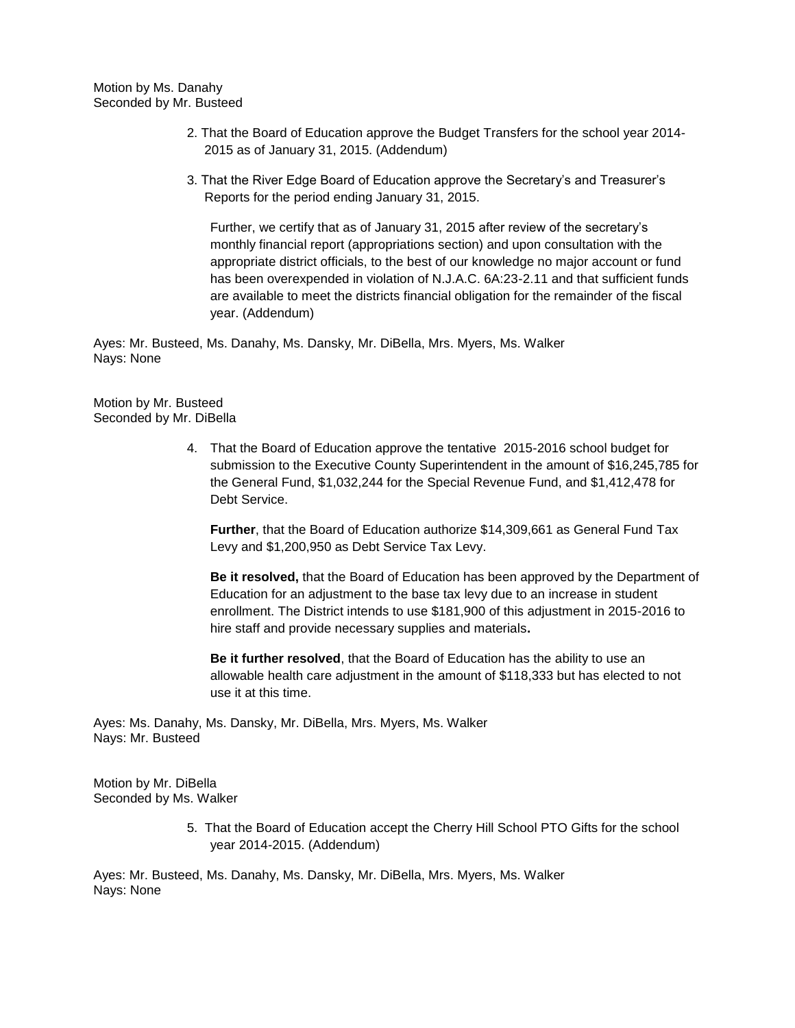Motion by Ms. Danahy Seconded by Mr. Busteed

- 2. That the Board of Education approve the Budget Transfers for the school year 2014- 2015 as of January 31, 2015. (Addendum)
- 3. That the River Edge Board of Education approve the Secretary's and Treasurer's Reports for the period ending January 31, 2015.

Further, we certify that as of January 31, 2015 after review of the secretary's monthly financial report (appropriations section) and upon consultation with the appropriate district officials, to the best of our knowledge no major account or fund has been overexpended in violation of N.J.A.C. 6A:23-2.11 and that sufficient funds are available to meet the districts financial obligation for the remainder of the fiscal year. (Addendum)

Ayes: Mr. Busteed, Ms. Danahy, Ms. Dansky, Mr. DiBella, Mrs. Myers, Ms. Walker Nays: None

Motion by Mr. Busteed Seconded by Mr. DiBella

> 4. That the Board of Education approve the tentative 2015-2016 school budget for submission to the Executive County Superintendent in the amount of \$16,245,785 for the General Fund, \$1,032,244 for the Special Revenue Fund, and \$1,412,478 for Debt Service.

**Further**, that the Board of Education authorize \$14,309,661 as General Fund Tax Levy and \$1,200,950 as Debt Service Tax Levy.

**Be it resolved,** that the Board of Education has been approved by the Department of Education for an adjustment to the base tax levy due to an increase in student enrollment. The District intends to use \$181,900 of this adjustment in 2015-2016 to hire staff and provide necessary supplies and materials**.**

**Be it further resolved**, that the Board of Education has the ability to use an allowable health care adjustment in the amount of \$118,333 but has elected to not use it at this time.

Ayes: Ms. Danahy, Ms. Dansky, Mr. DiBella, Mrs. Myers, Ms. Walker Nays: Mr. Busteed

Motion by Mr. DiBella Seconded by Ms. Walker

> 5. That the Board of Education accept the Cherry Hill School PTO Gifts for the school year 2014-2015. (Addendum)

Ayes: Mr. Busteed, Ms. Danahy, Ms. Dansky, Mr. DiBella, Mrs. Myers, Ms. Walker Nays: None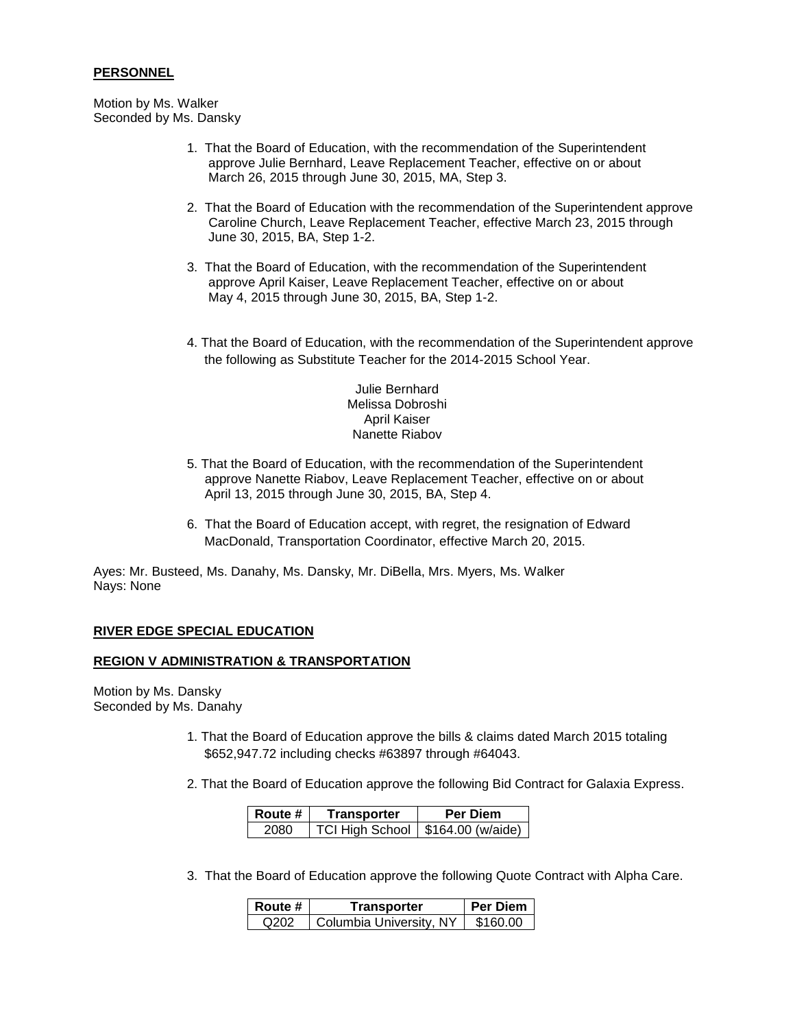### **PERSONNEL**

Motion by Ms. Walker Seconded by Ms. Dansky

- 1. That the Board of Education, with the recommendation of the Superintendent approve Julie Bernhard, Leave Replacement Teacher, effective on or about March 26, 2015 through June 30, 2015, MA, Step 3.
- 2. That the Board of Education with the recommendation of the Superintendent approve Caroline Church, Leave Replacement Teacher, effective March 23, 2015 through June 30, 2015, BA, Step 1-2.
- 3. That the Board of Education, with the recommendation of the Superintendent approve April Kaiser, Leave Replacement Teacher, effective on or about May 4, 2015 through June 30, 2015, BA, Step 1-2.
- 4. That the Board of Education, with the recommendation of the Superintendent approve the following as Substitute Teacher for the 2014-2015 School Year.

Julie Bernhard Melissa Dobroshi April Kaiser Nanette Riabov

- 5. That the Board of Education, with the recommendation of the Superintendent approve Nanette Riabov, Leave Replacement Teacher, effective on or about April 13, 2015 through June 30, 2015, BA, Step 4.
- 6. That the Board of Education accept, with regret, the resignation of Edward MacDonald, Transportation Coordinator, effective March 20, 2015.

Ayes: Mr. Busteed, Ms. Danahy, Ms. Dansky, Mr. DiBella, Mrs. Myers, Ms. Walker Nays: None

## **RIVER EDGE SPECIAL EDUCATION**

### **REGION V ADMINISTRATION & TRANSPORTATION**

Motion by Ms. Dansky Seconded by Ms. Danahy

- 1. That the Board of Education approve the bills & claims dated March 2015 totaling \$652,947.72 including checks #63897 through #64043.
- 2. That the Board of Education approve the following Bid Contract for Galaxia Express.

| Route # | Transporter                         | <b>Per Diem</b> |  |
|---------|-------------------------------------|-----------------|--|
| 2080    | TCI High School   \$164.00 (w/aide) |                 |  |

3. That the Board of Education approve the following Quote Contract with Alpha Care.

| Route # | Transporter                          | <b>Per Diem</b> |
|---------|--------------------------------------|-----------------|
| O202    | <sup>I</sup> Columbia University, NY | \$160.00        |